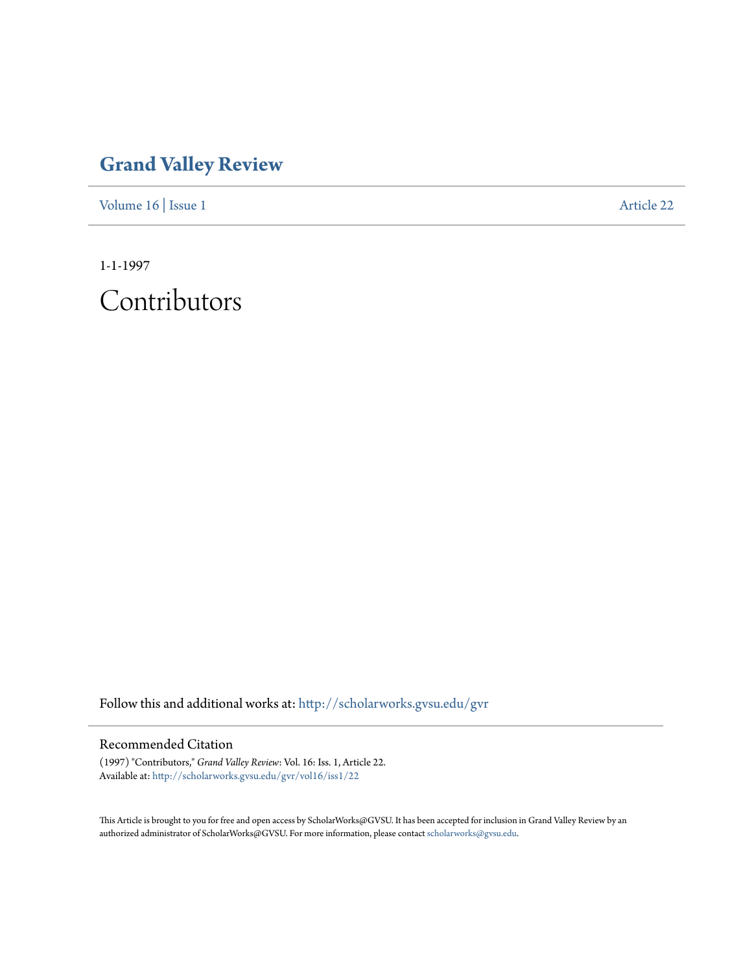## **[Grand Valley Review](http://scholarworks.gvsu.edu/gvr?utm_source=scholarworks.gvsu.edu%2Fgvr%2Fvol16%2Fiss1%2F22&utm_medium=PDF&utm_campaign=PDFCoverPages)**

[Volume 16](http://scholarworks.gvsu.edu/gvr/vol16?utm_source=scholarworks.gvsu.edu%2Fgvr%2Fvol16%2Fiss1%2F22&utm_medium=PDF&utm_campaign=PDFCoverPages) | [Issue 1](http://scholarworks.gvsu.edu/gvr/vol16/iss1?utm_source=scholarworks.gvsu.edu%2Fgvr%2Fvol16%2Fiss1%2F22&utm_medium=PDF&utm_campaign=PDFCoverPages) [Article 22](http://scholarworks.gvsu.edu/gvr/vol16/iss1/22?utm_source=scholarworks.gvsu.edu%2Fgvr%2Fvol16%2Fiss1%2F22&utm_medium=PDF&utm_campaign=PDFCoverPages)

1-1-1997

Contributors

Follow this and additional works at: [http://scholarworks.gvsu.edu/gvr](http://scholarworks.gvsu.edu/gvr?utm_source=scholarworks.gvsu.edu%2Fgvr%2Fvol16%2Fiss1%2F22&utm_medium=PDF&utm_campaign=PDFCoverPages)

## Recommended Citation

(1997) "Contributors," *Grand Valley Review*: Vol. 16: Iss. 1, Article 22. Available at: [http://scholarworks.gvsu.edu/gvr/vol16/iss1/22](http://scholarworks.gvsu.edu/gvr/vol16/iss1/22?utm_source=scholarworks.gvsu.edu%2Fgvr%2Fvol16%2Fiss1%2F22&utm_medium=PDF&utm_campaign=PDFCoverPages)

This Article is brought to you for free and open access by ScholarWorks@GVSU. It has been accepted for inclusion in Grand Valley Review by an authorized administrator of ScholarWorks@GVSU. For more information, please contact [scholarworks@gvsu.edu.](mailto:scholarworks@gvsu.edu)